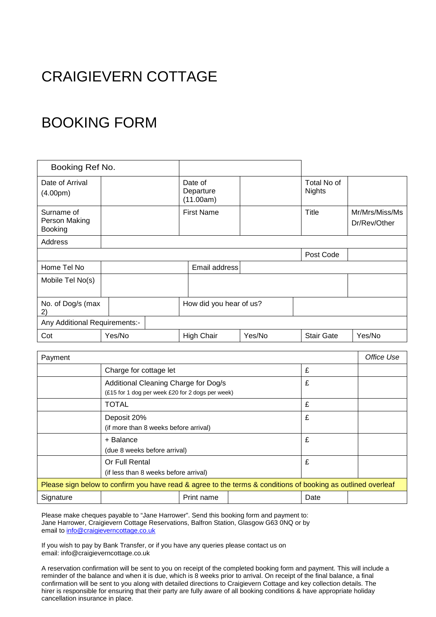## CRAIGIEVERN COTTAGE

## BOOKING FORM

| Booking Ref No.                               |        |                                   |        |                              |                                |
|-----------------------------------------------|--------|-----------------------------------|--------|------------------------------|--------------------------------|
| Date of Arrival<br>(4.00 <sub>pm</sub> )      |        | Date of<br>Departure<br>(11.00am) |        | Total No of<br><b>Nights</b> |                                |
| Surname of<br>Person Making<br><b>Booking</b> |        | <b>First Name</b>                 |        | Title                        | Mr/Mrs/Miss/Ms<br>Dr/Rev/Other |
| Address                                       |        |                                   |        |                              |                                |
|                                               |        |                                   |        | Post Code                    |                                |
| Home Tel No                                   |        | Email address                     |        |                              |                                |
| Mobile Tel No(s)                              |        |                                   |        |                              |                                |
| No. of Dog/s (max<br>$\mathbf{2}$             |        | How did you hear of us?           |        |                              |                                |
| Any Additional Requirements:-                 |        |                                   |        |                              |                                |
| Cot                                           | Yes/No | <b>High Chair</b>                 | Yes/No | <b>Stair Gate</b>            | Yes/No                         |

| Payment                                                                                                      |                                                                                          |            |  |      |  |  |  |
|--------------------------------------------------------------------------------------------------------------|------------------------------------------------------------------------------------------|------------|--|------|--|--|--|
|                                                                                                              | Charge for cottage let                                                                   | £          |  |      |  |  |  |
|                                                                                                              | Additional Cleaning Charge for Dog/s<br>(£15 for 1 dog per week £20 for 2 dogs per week) | £          |  |      |  |  |  |
|                                                                                                              | <b>TOTAL</b>                                                                             | £          |  |      |  |  |  |
|                                                                                                              | Deposit 20%<br>(if more than 8 weeks before arrival)                                     |            |  |      |  |  |  |
|                                                                                                              | + Balance<br>(due 8 weeks before arrival)                                                | £          |  |      |  |  |  |
|                                                                                                              | Or Full Rental<br>(if less than 8 weeks before arrival)                                  | £          |  |      |  |  |  |
| Please sign below to confirm you have read & agree to the terms & conditions of booking as outlined overleaf |                                                                                          |            |  |      |  |  |  |
| Signature                                                                                                    |                                                                                          | Print name |  | Date |  |  |  |

Please make cheques payable to "Jane Harrower". Send this booking form and payment to: Jane Harrower, Craigievern Cottage Reservations, Balfron Station, Glasgow G63 0NQ or by email t[o info@craigieverncottage.co.uk](mailto:info@craigieverncottage.co.uk)

If you wish to pay by Bank Transfer, or if you have any queries please contact us on email: info@craigieverncottage.co.uk

A reservation confirmation will be sent to you on receipt of the completed booking form and payment. This will include a reminder of the balance and when it is due, which is 8 weeks prior to arrival. On receipt of the final balance, a final confirmation will be sent to you along with detailed directions to Craigievern Cottage and key collection details. The hirer is responsible for ensuring that their party are fully aware of all booking conditions & have appropriate holiday cancellation insurance in place.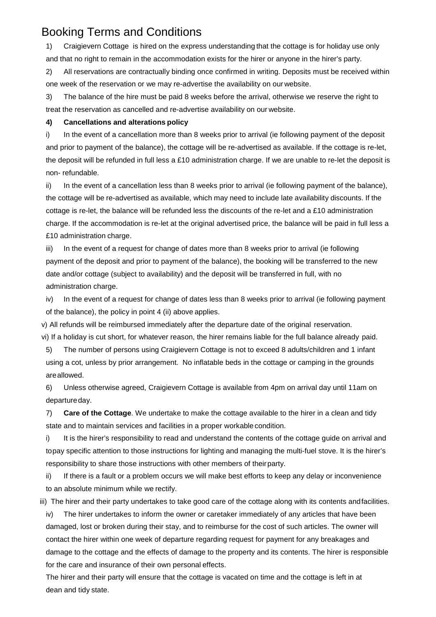## Booking Terms and Conditions

1) Craigievern Cottage is hired on the express understanding that the cottage is for holiday use only and that no right to remain in the accommodation exists for the hirer or anyone in the hirer's party.

2) All reservations are contractually binding once confirmed in writing. Deposits must be received within one week of the reservation or we may re-advertise the availability on our website.

3) The balance of the hire must be paid 8 weeks before the arrival, otherwise we reserve the right to treat the reservation as cancelled and re-advertise availability on our website.

## **4) Cancellations and alterations policy**

i) In the event of a cancellation more than 8 weeks prior to arrival (ie following payment of the deposit and prior to payment of the balance), the cottage will be re-advertised as available. If the cottage is re-let, the deposit will be refunded in full less a £10 administration charge. If we are unable to re-let the deposit is non- refundable.

ii) In the event of a cancellation less than 8 weeks prior to arrival (ie following payment of the balance), the cottage will be re-advertised as available, which may need to include late availability discounts. If the cottage is re-let, the balance will be refunded less the discounts of the re-let and a £10 administration charge. If the accommodation is re-let at the original advertised price, the balance will be paid in full less a £10 administration charge.

iii) In the event of a request for change of dates more than 8 weeks prior to arrival (ie following payment of the deposit and prior to payment of the balance), the booking will be transferred to the new date and/or cottage (subject to availability) and the deposit will be transferred in full, with no administration charge.

iv) In the event of a request for change of dates less than 8 weeks prior to arrival (ie following payment of the balance), the policy in point 4 (ii) above applies.

v) All refunds will be reimbursed immediately after the departure date of the original reservation.

vi) If a holiday is cut short, for whatever reason, the hirer remains liable for the full balance already paid.

5) The number of persons using Craigievern Cottage is not to exceed 8 adults/children and 1 infant using a cot, unless by prior arrangement. No inflatable beds in the cottage or camping in the grounds areallowed.

6) Unless otherwise agreed, Craigievern Cottage is available from 4pm on arrival day until 11am on departure day.

7) **Care of the Cottage**. We undertake to make the cottage available to the hirer in a clean and tidy state and to maintain services and facilities in a proper workable condition.

i) It is the hirer's responsibility to read and understand the contents of the cottage guide on arrival and topay specific attention to those instructions for lighting and managing the multi-fuel stove. It is the hirer's responsibility to share those instructions with other members of theirparty.

ii) If there is a fault or a problem occurs we will make best efforts to keep any delay or inconvenience to an absolute minimum while we rectify.

iii) The hirer and their party undertakes to take good care of the cottage along with its contents andfacilities.

iv) The hirer undertakes to inform the owner or caretaker immediately of any articles that have been damaged, lost or broken during their stay, and to reimburse for the cost of such articles. The owner will contact the hirer within one week of departure regarding request for payment for any breakages and damage to the cottage and the effects of damage to the property and its contents. The hirer is responsible for the care and insurance of their own personal effects.

The hirer and their party will ensure that the cottage is vacated on time and the cottage is left in at dean and tidy state.